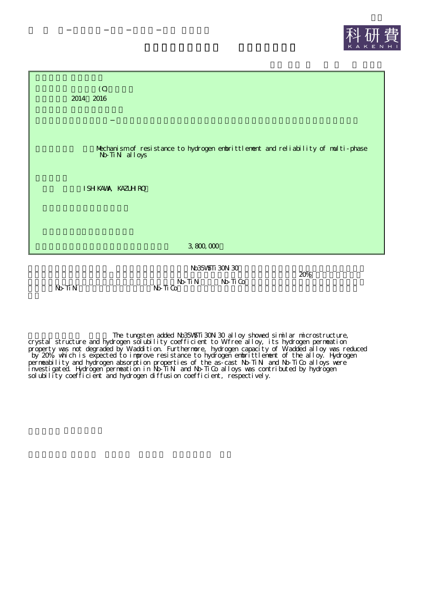



 $N_D T \cdot N_I$   $N_D T \cdot G$ 

The tungsten added Nb35W5Ti30Ni30 alloy showed similar microstructure, crystal structure and hydrogen solubility coefficient to Wifree alloy, its hydrogen permeation property was not degraded by W addition. Furthermore, hydrogen capacity of W added alloy was reduced by 20%, which is expected to improve resistance to hydrogen embrittlement of the alloy. Hydrogen permeability and hydrogen absorption properties of the as-cast Nb-TiNi and Nb-TiCo alloys were investigated. Hydrogen permeation in Nb-TiNi and Nb-TiCo alloys was contributed by hydrogen solubility coefficient and hydrogen diffusion coefficient, respectively.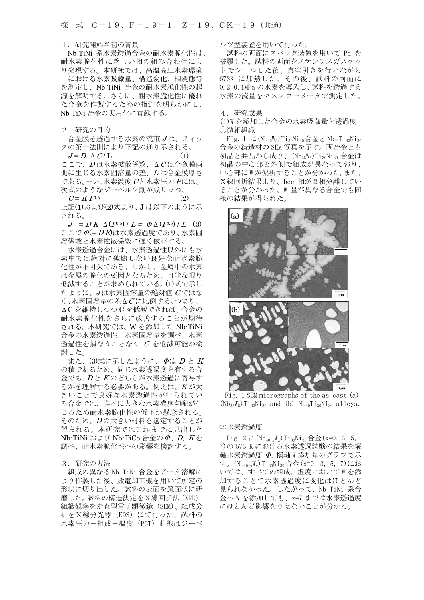#### 1.研究開始当初の背景

Nb-TiNi 系水素透過合金の耐水素脆化性は、 耐水素脆化性に乏しい相の組み合わせによ り発現する。本研究では、高温高圧水素環境 下における水素吸蔵量、構造変化、相変態等 を測定し、Nb-TiNi 合金の耐水素脆化性の起 源を解明する。さらに、耐水素脆化性に優れ た合金を作製するための指針を明らかにし、 Nb-TiNi 合金の実用化に貢献する。

2.研究の目的

 合金膜を透過する水素の流束 J は、フィッ クの第一法則により下記の通り示される。

 $J = D \Delta C / L$  (1)  $\subseteq$ こで、 $D$ は水素拡散係数、 $\Delta C$ は合金膜両 側に生じる水素固溶量の差、L は合金膜厚さ である。一方、水素濃度 Cと水素圧力 Pには、

次式のようなジーベルツ則が成り立つ。  $C = K P^{0.5}$  (2) 上記(1)および(2)式より、J は以下のように示

される。  $J = D K \Delta (P^{0.5}) / L = \Phi \Delta (P^{0.5}) / L$  (3) ここで Φ(= D K)は水素透過度であり、水素固

溶係数と水素拡散係数に強く依存する。 水素透過合金には、水素透過性以外にも水 素中では絶対に破壊しない良好な耐水素脆 化性が不可欠である。しかし、金属中の水素 は金属の脆化の要因となるため、可能な限り 低減することが求められている。(1)式で示し たように、 $J$ は水素固溶量の絶対値 $C$ ではな  $\zeta$ 、水素固溶量の差 $\Delta C$ に比例する。つまり、 ΔC を維持しつつ C を低減できれば、合金の 耐水素脆化性をさらに改善することが期待 される。本研究では、W を添加した Nb-TiNi 合金の水素透過性、水素固溶量を調べ、水素 透過性を損なうことなく C を低減可能か検 討した。

また、 $(3)$ 式に示したように、 $\varPhi$ は  $D \nmid K$ の積であるため、同じ水素透過度を有する合 金でも、D と K のどちらが水素透過に寄与す るかを理解する必要がある。例えば、K が大 きいことで良好な水素透過性が得られてい る合金では、膜内に大きな水素濃度勾配が生 じるため耐水素脆化性の低下が懸念される。 そのため、D の大きい材料を選定することが 望まれる。本研究ではこれまでに見出した Nb-TiNi および Nb-TiCo 合金のΦ、D、<sup>K</sup> を 調べ、耐水素脆化性への影響を検討する。

## 3.研究の方法

組成の異なる Nb-TiNi 合金をアーク溶解に より作製した後、放電加工機を用いて所定の 形状に切り出した。試料の表面を鏡面状に研 磨した。試料の構造決定をX線回折法(XRD)、 組織観察を走査型電子顕微鏡(SEM)、組成分 析をX線分光器(EDS)にて行った。試料の 水素圧力-組成-温度(PCT)曲線はジーベ ルツ型装置を用いて行った。

試料の両面にスパッタ装置を用いて Pd を 被覆した。試料の両面をステンレスガスケッ トでシールした後、真空引きを行いながら 673K に加熱した。その後、試料の両面に 0.2-0.1MPa の水素を導入し、試料を透過する 水素の流量をマスフローメータで測定した。

## 4.研究成果

(1)W を添加した合金の水素吸蔵量と透過度 ①微細組織

Fig. 1 に( $Nb_{35}W_5$ )Ti<sub>30</sub>Ni<sub>30</sub>合金と $Nb_{40}Ti_{30}Ni_{30}$ 合金の鋳造材の SEM 写真を示す。両合金とも 初晶と共晶から成り、(NbasWs)TianNian 合金は 初晶の中心部と外側で組成が異なっており、 中心部に W が偏析することが分かった。また、 X線回折結果より、bcc 相が2相分離してい ることが分かった。W 量が異なる合金でも同 様の結果が得られた。



Fig. 1 SEM micrographs of the as-cast (a)  $(Nb_{35}W_5)Ti_{30}Ni_{30}$  and (b)  $Nb_{40}Ti_{30}Ni_{30}$  alloys.

# ②水素透過度

Fig. 2 に ( $Nb_{40-x}W_x$ ) Ti<sub>30</sub>Ni<sub>30</sub> 合金 (x=0, 3, 5, 7)の 573 K における水素透過試験の結果を縦 軸水素透過度 Φ、横軸 W 添加量のグラフで示 す。(Nb40-xWx)Ti30Ni30合金(x=0,3,5,7)にお いては、すべての組成, 温度において W を添 加することで水素透過度に変化はほとんど 見られなかった。したがって、Nb-TiNi 系合 金へ W を添加しても、x=7 までは水素透過度 にほとんど影響を与えないことが分かる。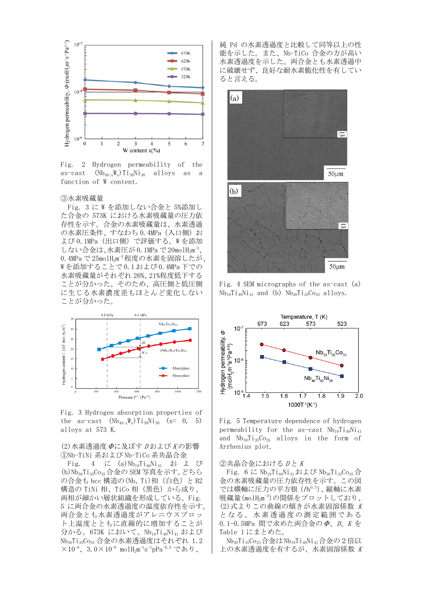

Fig. 2 Hydrogen permeability of the as-cast  $(Nb_{40-x}W_x)Ti_{30}Ni_{30}$  alloys as a function of W content.

#### ③水素吸蔵量

Fig. 3 に W を添加しない合金と 5%添加し た合金の 573K における水素吸蔵量の圧力依 存性を示す。合金の水素吸蔵量は、水素透過 の水素圧条件、すなわち 0.4MPa (入口側) お よび 0.1MPa(出口側)で評価する。W を添加 しない合金は、水素圧が 0.1MPa で 20molH<sub>2</sub>m<sup>-3</sup>、 0.4MPa で 25molH<sub>2</sub>m<sup>-3</sup> 程度の水素を固溶したが、 W を添加することで 0.1 および 0.4MPa 下での 水素吸蔵量がそれぞれ 26%、21%程度低下する ことが分かった。そのため、高圧側と低圧側 に生じる水素濃度差もほとんど変化しない ことが分かった。



Fig. 3 Hydrogen absorption properties of the as-cast  $(Nb_{40-x}W_x)Ti_{30}Ni_{30}$  (x= 0, 5) alloys at 573 K.

## $(2)$ 水素透過度  $\Phi$ に及ぼす  $D$ および  $K$ の影響 ①Nb-TiNi 系および Nb-TiCo 系共晶合金

Fig. 4 に (a)Nb<sub>19</sub>Ti<sub>40</sub>Ni<sub>41</sub> および (b)Nb30Ti35Co35合金の SEM 写真を示す。どちら の合金も bcc 構造の(Nb, Ti)相 (白色) と B2 構造の TiNi 相、TiCo 相(黒色)から成り、 両相が細かい層状組織を形成している。Fig. 5 に両合金の水素透過度の温度依存性を示す。 両合金とも水素透過度がアレニウスプロッ ト上温度とともに直線的に増加することが 分かる。673K において、Nb19Ti40Ni41 および Nb30Ti35Co35 合金の水素透過度はそれぞれ 1.2  $\times 10^{-8}$ 、3.0 $\times 10^{-8}$ molH<sub>2</sub>m $^{-1}$ s $^{-1}$ pPa $^{-0.5}$  であり、

純 Pd の水素透過度と比較して同等以上の性 能を示した。また、Nb-TiCo 合金の方が高い 水素透過度を示した。両合金とも水素透過中 に破壊せず、良好な耐水素脆化性を有してい ると言える。



Fig. 4 SEM micrographs of the as-cast (a)  $Nb_{19}Ti_{40}Ni_{41}$  and (b)  $Nb_{30}Ti_{35}Co_{35}$  alloys.



Fig. 5 Temperature dependence of hydrogen permeability for the as-cast  $Nb_{19}Ti_{40}Ni_{41}$ and  $Nb_{30}Ti_{35}Co_{35}$  alloys in the form of Arrhenius plot.

## ②共晶合金における Dと K

Fig. 6 に  $Nb_{19}Ti_{40}Ni_{41}$ および  $Nb_{30}Ti_{35}Co_{35}$ 合 金の水素吸蔵量の圧力依存性を示す。この図 では横軸に圧力の平方根 (Pa0.5)、縦軸に水素 吸蔵量(molH2m-3)の関係をプロットしており、 (2)式よりこの曲線の傾きが水素固溶係数 <sup>K</sup> となる。水素透過度の測定範囲である 0.1-0.5MPa 間で求めた両合金の Φ、D、K を Table 1 にまとめた。

 Nb30Ti35Co35合金は Nb19Ti40Ni41合金の2倍以 上の水素透過度を有するが、水素固溶係数 <sup>K</sup>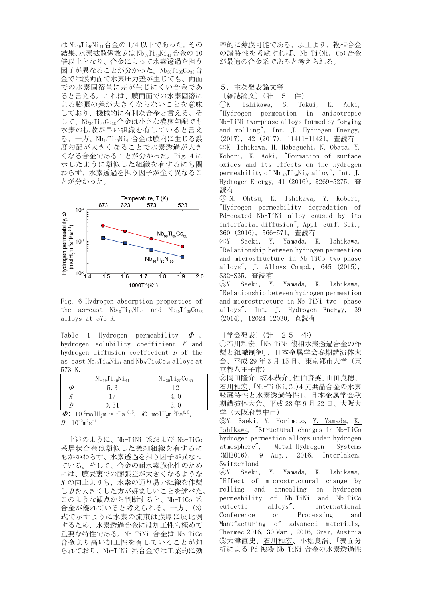は Nb19Ti40Ni41合金の 1/4 以下であった。その 結果、水素拡散係数 Dは Nb1gTi40Ni41合金の 10 倍以上となり、合金によって水素透過を担う 因子が異なることが分かった。Nb30Ti35Co35合 金では膜両面で水素圧力差が生じても、両面 での水素固溶量に差が生じにくい合金であ ると言える。これは、膜両面での水素固溶に よる膨張の差が大きくならないことを意味 しており、機械的に有利な合金と言える。そ して、Nb30Ti35Co35合金は小さな濃度勾配でも 水素の拡散が早い組織を有していると言え る。一方、Nb19Ti40Ni41合金は膜内に生じる濃 度勾配が大きくなることで水素透過が大き くなる合金であることが分かった。Fig. 4 に 示したように類似した組織を有するにも関 わらず、水素透過を担う因子が全く異なるこ とが分かった。



Fig. 6 Hydrogen absorption properties of the as-cast  $Nb_{19}Ti_{40}Ni_{41}$  and  $Nb_{30}Ti_{35}Co_{35}$ alloys at 573 K.

Table 1 Hydrogen permeability  $\Phi$ , hydrogen solubility coefficient K and hydrogen diffusion coefficient  $D$  of the as-cast  $Nb_{19}Ti_{40}Ni_{41}$  and  $Nb_{30}Ti_{35}Co_{35}$  alloys at 573 K.

| Φ<br>53 | $Nb_{19}Ti_{40}Ni_{41}$ | $Nb_{30}Ti_{35}Co_{35}$ |
|---------|-------------------------|-------------------------|
|         |                         |                         |
|         |                         |                         |
| 0.31    |                         |                         |

 $\Phi: 10^{-9}$ mol $\text{H}_{2}$ m<sup>-1</sup>s<sup>-1</sup>Pa<sup>-0.5</sup>, K: mol $\text{H}_{2}$ m<sup>-3</sup>Pa<sup>0.5</sup>,  $D: 10^{-9}$ m<sup>2</sup>s<sup>-1</sup>

 上述のように、Nb-TiNi 系および Nb-TiCo 系層状合金は類似した微細組織を有するに もかかわらず、水素透過を担う因子が異なっ ている。そして、合金の耐水素脆化性のため には、膜表裏での膨張差が大きくなるような K の向上よりも、水素の通り易い組織を作製 し Dを大きくした方が好ましいことを述べた。 このような観点から判断すると、Nb-TiCo 系 合金が優れていると考えられる。一方、(3) 式で示すように水素の流束は膜厚に反比例 するため、水素透過合金には加工性も極めて 重要な特性である。Nb-TiNi 合金は Nb-TiCo 合金より高い加工性を有していることが知 られており、Nb-TiNi 系合金では工業的に効

率的に薄膜可能である。以上より、複相合金 の諸特性を考慮すれば、Nb-Ti(Ni, Co)合金 が最適の合金系であると考えられる。

```
5.主な発表論文等
```

```
〔雑誌論文〕(計 5 件)
```
①K. Ishikawa, S. Tokui, K. Aoki, "Hydrogen permeation in anisotropic Nb-TiNi two-phase alloys formed by forging and rolling", Int. J. Hydrogen Energy, (2017), 42 (2017), 11411-11421, 査読有 ②K. Ishikawa, H. Habaguchi, N. Obata, Y. Kobori, K. Aoki, "Formation of surface oxides and its effects on the hydrogen permeability of Nb  $_{40}Ti_{30}Ni_{30}$  alloy", Int. J. Hydrogen Energy, 41 (2016), 5269-5275, 査 読有

③ N. Ohtsu, K. Ishikawa, Y. Kobori, "Hydrogen permeability degradation of Pd-coated Nb–TiNi alloy caused by its interfacial diffusion", Appl. Surf. Sci., 360 (2016), 566-571, 査読有

④Y. Saeki, Y. Yamada, K. Ishikawa, "Relationship between hydrogen permeation and microstructure in Nb-TiCo two-phase alloys", J. Alloys Compd., 645 (2015), S32-S35, 査読有

⑤Y. Saeki, Y. Yamada, K. Ishikawa, "Relationship between hydrogen permeation and microstructure in Nb-TiNi two- phase alloys", Int. J. Hydrogen Energy, 39 (2014), 12024-12030, 査読有

〔学会発表〕(計 25 件)

①石川和宏、「Nb-TiNi 複相水素透過合金の作 製と組織制御」、日本金属学会春期講演体大 会、平成 29 年 3 月 15 日、東京都市大学(東 京都八王子市)

②岡田隆介、坂本恭介、佐伯賢英、山田良穂、 石川和宏、「Nb-Ti(Ni,Co)4 元共晶合金の水素 吸蔵特性と水素透過特性」、日本金属学会秋 期講演体大会、平成 28 年 9 月 22 日、大阪大 学(大阪府豊中市)

③Y. Saeki, Y. Horimoto, Y. Yamada, K. Ishikawa, "Structural changes in Nb-TiCo hydrogen permeation alloys under hydrogen atmosphere", Metal-Hydrogen Systems (MH2016), 9 Aug., 2016, Interlaken, Switzerland

④Y. Saeki, Y. Yamada, K. Ishikawa, "Effect of microstructural change by rolling and annealing on hydrogen permeability of Nb-TiNi and Nb-TiCo eutectic alloys", International Conference on Processing and Manufacturing of advanced materials, Thermec 2016, 30 Mar., 2016, Graz, Austria ⑤大津直史、石川和宏、小堀良浩、「表面分 析による Pd 被覆 Nb-TiNi 合金の水素透過性